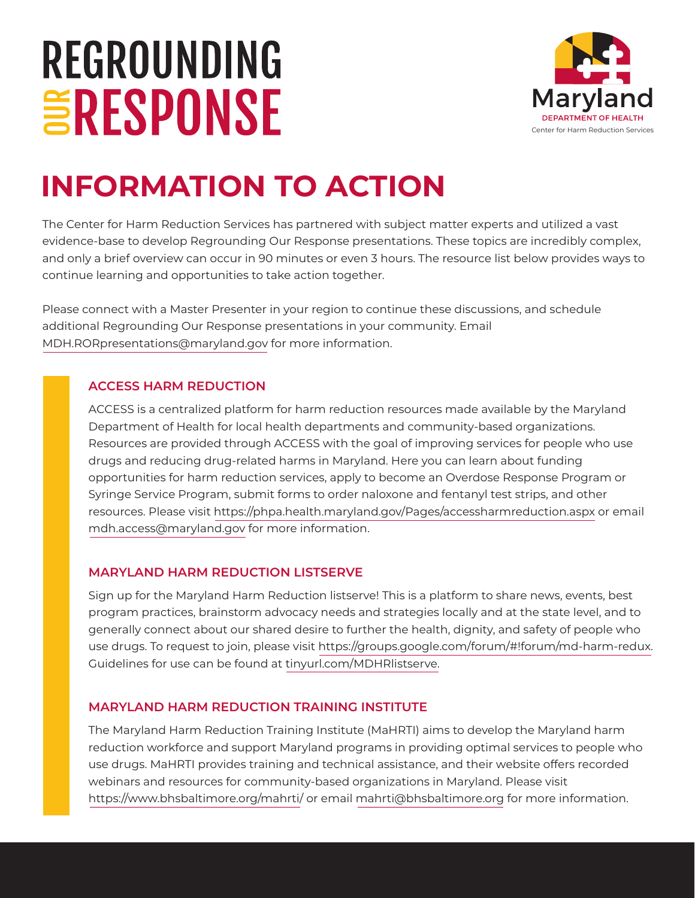# REGROUNDING **ERESPONSE**



# **INFORMATION TO ACTION**

The Center for Harm Reduction Services has partnered with subject matter experts and utilized a vast evidence-base to develop Regrounding Our Response presentations. These topics are incredibly complex, and only a brief overview can occur in 90 minutes or even 3 hours. The resource list below provides ways to continue learning and opportunities to take action together.

Please connect with a Master Presenter in your region to continue these discussions, and schedule additional Regrounding Our Response presentations in your community. Email MDH.RORpresentations@maryland.gov for more information.

# **ACCESS HARM REDUCTION**

ACCESS is a centralized platform for harm reduction resources made available by the Maryland Department of Health for local health departments and community-based organizations. Resources are provided through ACCESS with the goal of improving services for people who use drugs and reducing drug-related harms in Maryland. Here you can learn about funding opportunities for harm reduction services, apply to become an Overdose Response Program or Syringe Service Program, submit forms to order naloxone and fentanyl test strips, and other resources. Please visit https://phpa.health.maryland.gov/Pages/accessharmreduction.aspx or email mdh.access@maryland.gov for more information.

#### **MARYLAND HARM REDUCTION LISTSERVE**

Sign up for the Maryland Harm Reduction listserve! This is a platform to share news, events, best program practices, brainstorm advocacy needs and strategies locally and at the state level, and to generally connect about our shared desire to further the health, dignity, and safety of people who use drugs. To request to join, please visit https://groups.google.com/forum/#!forum/md-harm-redux. Guidelines for use can be found at [tinyurl.com/MDHRlistserve.](http://tinyurl.com/MDHRlistserve)

# **MARYLAND HARM REDUCTION TRAINING INSTITUTE**

The Maryland Harm Reduction Training Institute (MaHRTI) aims to develop the Maryland harm reduction workforce and support Maryland programs in providing optimal services to people who use drugs. MaHRTI provides training and technical assistance, and their website offers recorded webinars and resources for community-based organizations in Maryland. Please visit https://www.bhsbaltimore.org/mahrti/ or email mahrti@bhsbaltimore.org for more information.